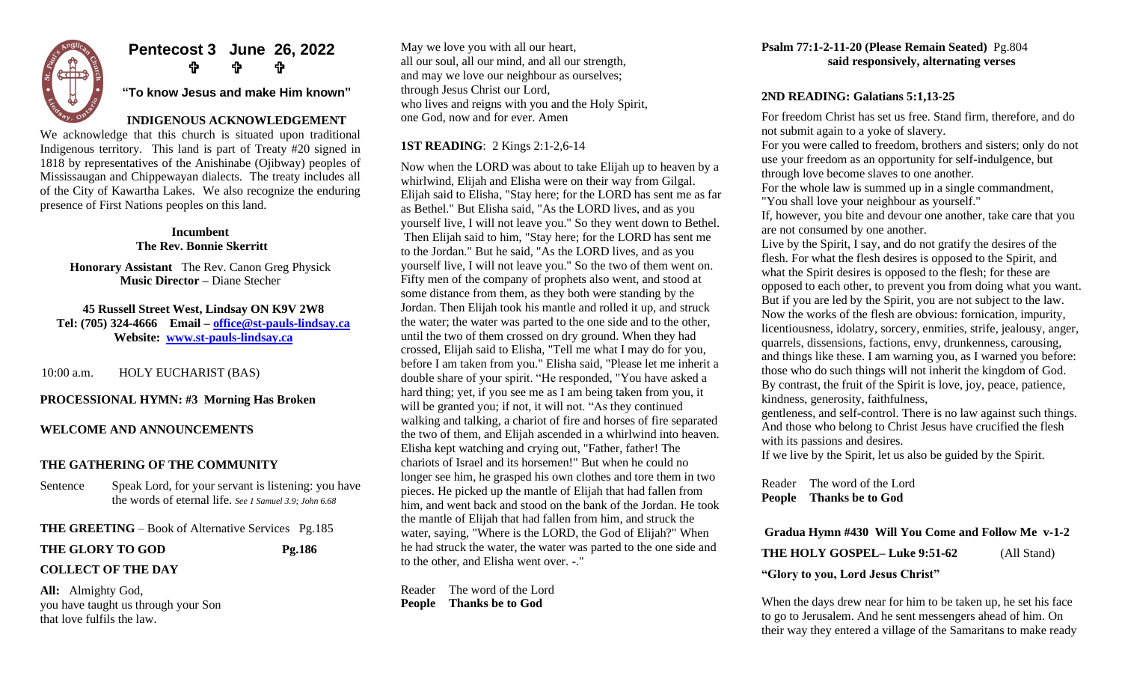

# **Pentecost 3 June 26, 2022**

**"To know Jesus and make Him known"**

**ን የ** የ

## **INDIGENOUS ACKNOWLEDGEMENT**

We acknowledge that this church is situated upon traditional Indigenous territory. This land is part of Treaty #20 signed in 1818 by representatives of the Anishinabe (Ojibway) peoples of Mississaugan and Chippewayan dialects. The treaty includes all of the City of Kawartha Lakes. We also recognize the enduring presence of First Nations peoples on this land.

## **Incumbent The Rev. Bonnie Skerritt**

**Honorary Assistant** The Rev. Canon Greg Physick **Music Director –** Diane Stecher

 **45 Russell Street West, Lindsay ON K9V 2W8 Tel: (705) 324-4666 Email – [office@st-pauls-lindsay.ca](mailto:office@st-pauls-lindsay.ca) Website: [www.st-pauls-lindsay.ca](http://www.st-pauls-lindsay.ca/)**

10:00 a.m. HOLY EUCHARIST (BAS)

## **PROCESSIONAL HYMN: #3 Morning Has Broken**

#### **WELCOME AND ANNOUNCEMENTS**

#### **THE GATHERING OF THE COMMUNITY**

Sentence Speak Lord, for your servant is listening: you have the words of eternal life. *See 1 Samuel 3.9; John 6.68*

| <b>THE GREETING</b> – Book of Alternative Services Pg.185 |        |
|-----------------------------------------------------------|--------|
| THE GLORY TO GOD                                          | Pg.186 |

## **COLLECT OF THE DAY**

**All:** Almighty God, you have taught us through your Son that love fulfils the law.

May we love you with all our heart, all our soul, all our mind, and all our strength, and may we love our neighbour as ourselves; through Jesus Christ our Lord, who lives and reigns with you and the Holy Spirit, one God, now and for ever. Amen

## **1ST READING**: 2 Kings 2:1-2,6-14

Now when the LORD was about to take Elijah up to heaven by a whirlwind, Elijah and Elisha were on their way from Gilgal. Elijah said to Elisha, "Stay here; for the LORD has sent me as far as Bethel." But Elisha said, "As the LORD lives, and as you yourself live, I will not leave you." So they went down to Bethel. Then Elijah said to him, "Stay here; for the LORD has sent me to the Jordan." But he said, "As the LORD lives, and as you yourself live, I will not leave you." So the two of them went on. Fifty men of the company of prophets also went, and stood at some distance from them, as they both were standing by the Jordan. Then Elijah took his mantle and rolled it up, and struck the water; the water was parted to the one side and to the other, until the two of them crossed on dry ground. When they had crossed, Elijah said to Elisha, "Tell me what I may do for you, before I am taken from you." Elisha said, "Please let me inherit a double share of your spirit. "He responded, "You have asked a hard thing; yet, if you see me as I am being taken from you, it will be granted you; if not, it will not. "As they continued walking and talking, a chariot of fire and horses of fire separated the two of them, and Elijah ascended in a whirlwind into heaven. Elisha kept watching and crying out, "Father, father! The chariots of Israel and its horsemen!" But when he could no longer see him, he grasped his own clothes and tore them in two pieces. He picked up the mantle of Elijah that had fallen from him, and went back and stood on the bank of the Jordan. He took the mantle of Elijah that had fallen from him, and struck the water, saying, "Where is the LORD, the God of Elijah?" When he had struck the water, the water was parted to the one side and to the other, and Elisha went over. -."

Reader The word of the Lord **People Thanks be to God**

## **Psalm 77:1-2-11-20 (Please Remain Seated)** Pg.804 **said responsively, alternating verses**

#### **2ND READING: Galatians 5:1,13-25**

For freedom Christ has set us free. Stand firm, therefore, and do not submit again to a yoke of slavery.

For you were called to freedom, brothers and sisters; only do not use your freedom as an opportunity for self-indulgence, but through love become slaves to one another.

For the whole law is summed up in a single commandment,

"You shall love your neighbour as yourself."

If, however, you bite and devour one another, take care that you are not consumed by one another.

Live by the Spirit, I say, and do not gratify the desires of the flesh. For what the flesh desires is opposed to the Spirit, and what the Spirit desires is opposed to the flesh; for these are opposed to each other, to prevent you from doing what you want. But if you are led by the Spirit, you are not subject to the law. Now the works of the flesh are obvious: fornication, impurity, licentiousness, idolatry, sorcery, enmities, strife, jealousy, anger, quarrels, dissensions, factions, envy, drunkenness, carousing, and things like these. I am warning you, as I warned you before: those who do such things will not inherit the kingdom of God. By contrast, the fruit of the Spirit is love, joy, peace, patience, kindness, generosity, faithfulness,

gentleness, and self-control. There is no law against such things. And those who belong to Christ Jesus have crucified the flesh with its passions and desires.

If we live by the Spirit, let us also be guided by the Spirit.

Reader The word of the Lord **People Thanks be to God**

## **Gradua Hymn #430 Will You Come and Follow Me v-1-2**

**THE HOLY GOSPEL– Luke 9:51-62** (All Stand)

#### **"Glory to you, Lord Jesus Christ"**

When the days drew near for him to be taken up, he set his face to go to Jerusalem. And he sent messengers ahead of him. On their way they entered a village of the Samaritans to make ready